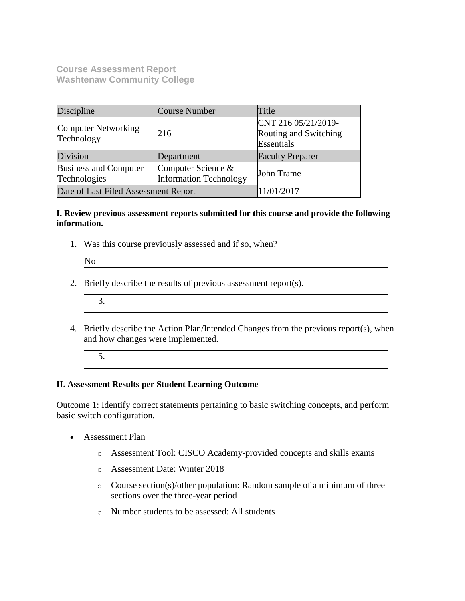**Course Assessment Report Washtenaw Community College**

| Discipline                                   | <b>Course Number</b>                                   | Title                                                      |
|----------------------------------------------|--------------------------------------------------------|------------------------------------------------------------|
| Computer Networking<br>Technology            | 216                                                    | CNT 216 05/21/2019-<br>Routing and Switching<br>Essentials |
| Division                                     | Department                                             | <b>Faculty Preparer</b>                                    |
| <b>Business and Computer</b><br>Technologies | Computer Science $\&$<br><b>Information Technology</b> | John Trame                                                 |
| Date of Last Filed Assessment Report         |                                                        | 11/01/2017                                                 |

#### **I. Review previous assessment reports submitted for this course and provide the following information.**

1. Was this course previously assessed and if so, when?

| N |  |
|---|--|
|   |  |

- 2. Briefly describe the results of previous assessment report(s).
	- 3.
- 4. Briefly describe the Action Plan/Intended Changes from the previous report(s), when and how changes were implemented.
	- 5.

# **II. Assessment Results per Student Learning Outcome**

Outcome 1: Identify correct statements pertaining to basic switching concepts, and perform basic switch configuration.

- Assessment Plan
	- o Assessment Tool: CISCO Academy-provided concepts and skills exams
	- o Assessment Date: Winter 2018
	- o Course section(s)/other population: Random sample of a minimum of three sections over the three-year period
	- o Number students to be assessed: All students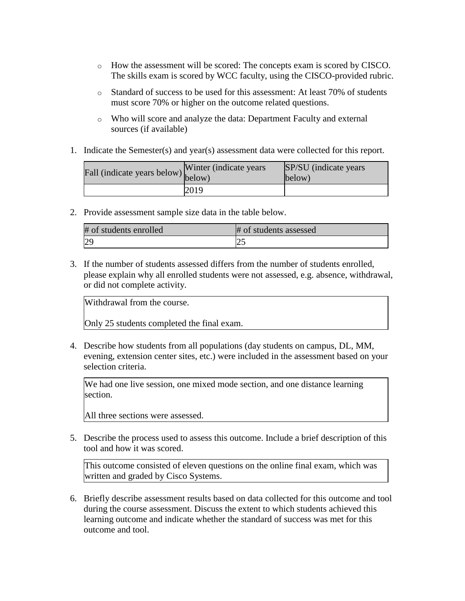- o How the assessment will be scored: The concepts exam is scored by CISCO. The skills exam is scored by WCC faculty, using the CISCO-provided rubric.
- o Standard of success to be used for this assessment: At least 70% of students must score 70% or higher on the outcome related questions.
- o Who will score and analyze the data: Department Faculty and external sources (if available)
- 1. Indicate the Semester(s) and year(s) assessment data were collected for this report.

| Fall (indicate years below) below) | Winter (indicate years) | <b>SP/SU</b> (indicate years)<br>below) |
|------------------------------------|-------------------------|-----------------------------------------|
|                                    | 2019                    |                                         |

2. Provide assessment sample size data in the table below.

| # of students enrolled | # of students assessed |
|------------------------|------------------------|
|                        | ل ک                    |

3. If the number of students assessed differs from the number of students enrolled, please explain why all enrolled students were not assessed, e.g. absence, withdrawal, or did not complete activity.

Withdrawal from the course.

Only 25 students completed the final exam.

4. Describe how students from all populations (day students on campus, DL, MM, evening, extension center sites, etc.) were included in the assessment based on your selection criteria.

We had one live session, one mixed mode section, and one distance learning section.

All three sections were assessed.

5. Describe the process used to assess this outcome. Include a brief description of this tool and how it was scored.

This outcome consisted of eleven questions on the online final exam, which was written and graded by Cisco Systems.

6. Briefly describe assessment results based on data collected for this outcome and tool during the course assessment. Discuss the extent to which students achieved this learning outcome and indicate whether the standard of success was met for this outcome and tool.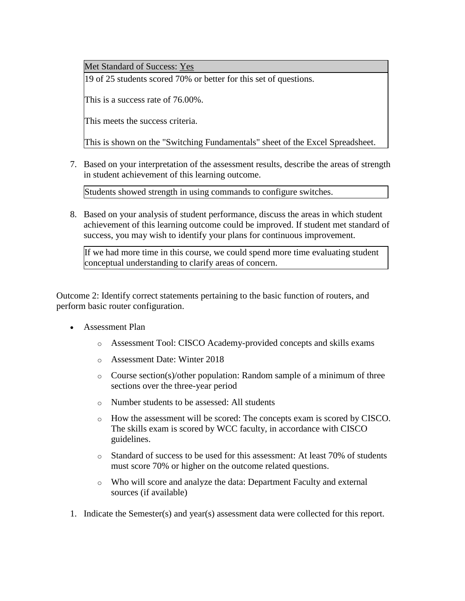Met Standard of Success: Yes

19 of 25 students scored 70% or better for this set of questions.

This is a success rate of 76.00%.

This meets the success criteria.

This is shown on the "Switching Fundamentals" sheet of the Excel Spreadsheet.

7. Based on your interpretation of the assessment results, describe the areas of strength in student achievement of this learning outcome.

Students showed strength in using commands to configure switches.

8. Based on your analysis of student performance, discuss the areas in which student achievement of this learning outcome could be improved. If student met standard of success, you may wish to identify your plans for continuous improvement.

If we had more time in this course, we could spend more time evaluating student conceptual understanding to clarify areas of concern.

Outcome 2: Identify correct statements pertaining to the basic function of routers, and perform basic router configuration.

- Assessment Plan
	- o Assessment Tool: CISCO Academy-provided concepts and skills exams
	- o Assessment Date: Winter 2018
	- $\circ$  Course section(s)/other population: Random sample of a minimum of three sections over the three-year period
	- o Number students to be assessed: All students
	- o How the assessment will be scored: The concepts exam is scored by CISCO. The skills exam is scored by WCC faculty, in accordance with CISCO guidelines.
	- o Standard of success to be used for this assessment: At least 70% of students must score 70% or higher on the outcome related questions.
	- o Who will score and analyze the data: Department Faculty and external sources (if available)
- 1. Indicate the Semester(s) and year(s) assessment data were collected for this report.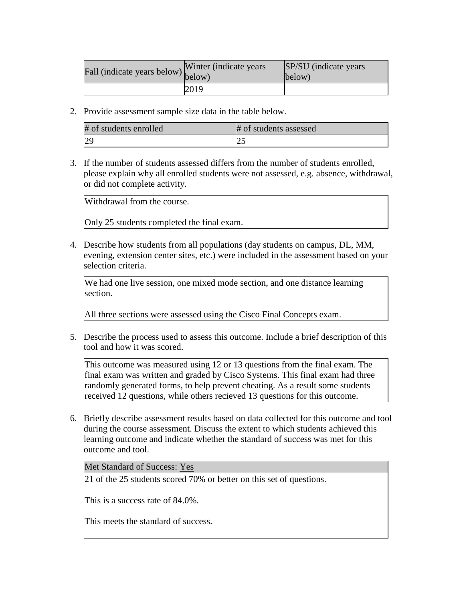| Fall (indicate years below) below) | Winter (indicate years) | SP/SU (indicate years)<br>below) |
|------------------------------------|-------------------------|----------------------------------|
|                                    | 2019                    |                                  |

2. Provide assessment sample size data in the table below.

| # of students enrolled | # of students assessed |
|------------------------|------------------------|
| 29                     | ت ک                    |

3. If the number of students assessed differs from the number of students enrolled, please explain why all enrolled students were not assessed, e.g. absence, withdrawal, or did not complete activity.

Withdrawal from the course.

Only 25 students completed the final exam.

4. Describe how students from all populations (day students on campus, DL, MM, evening, extension center sites, etc.) were included in the assessment based on your selection criteria.

We had one live session, one mixed mode section, and one distance learning section.

All three sections were assessed using the Cisco Final Concepts exam.

5. Describe the process used to assess this outcome. Include a brief description of this tool and how it was scored.

This outcome was measured using 12 or 13 questions from the final exam. The final exam was written and graded by Cisco Systems. This final exam had three randomly generated forms, to help prevent cheating. As a result some students received 12 questions, while others recieved 13 questions for this outcome.

6. Briefly describe assessment results based on data collected for this outcome and tool during the course assessment. Discuss the extent to which students achieved this learning outcome and indicate whether the standard of success was met for this outcome and tool.

Met Standard of Success: Yes

21 of the 25 students scored 70% or better on this set of questions.

This is a success rate of 84.0%.

This meets the standard of success.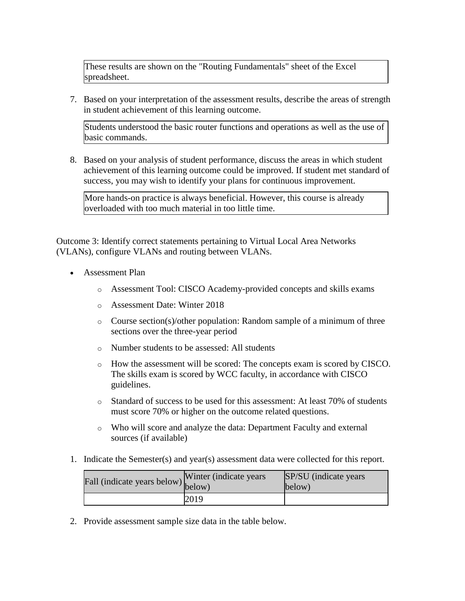These results are shown on the "Routing Fundamentals" sheet of the Excel spreadsheet.

7. Based on your interpretation of the assessment results, describe the areas of strength in student achievement of this learning outcome.

Students understood the basic router functions and operations as well as the use of basic commands.

8. Based on your analysis of student performance, discuss the areas in which student achievement of this learning outcome could be improved. If student met standard of success, you may wish to identify your plans for continuous improvement.

More hands-on practice is always beneficial. However, this course is already overloaded with too much material in too little time.

Outcome 3: Identify correct statements pertaining to Virtual Local Area Networks (VLANs), configure VLANs and routing between VLANs.

- Assessment Plan
	- o Assessment Tool: CISCO Academy-provided concepts and skills exams
	- o Assessment Date: Winter 2018
	- $\circ$  Course section(s)/other population: Random sample of a minimum of three sections over the three-year period
	- o Number students to be assessed: All students
	- o How the assessment will be scored: The concepts exam is scored by CISCO. The skills exam is scored by WCC faculty, in accordance with CISCO guidelines.
	- o Standard of success to be used for this assessment: At least 70% of students must score 70% or higher on the outcome related questions.
	- o Who will score and analyze the data: Department Faculty and external sources (if available)
- 1. Indicate the Semester(s) and year(s) assessment data were collected for this report.

| rall (indicate years below) below) | Winter (indicate years) | SP/SU (indicate years)<br>below) |
|------------------------------------|-------------------------|----------------------------------|
|                                    | 2019                    |                                  |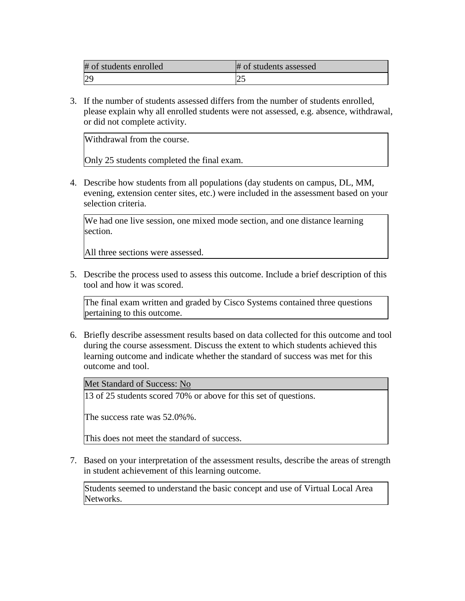| # of students enrolled | # of students assessed |
|------------------------|------------------------|
|                        | ب                      |

Withdrawal from the course.

Only 25 students completed the final exam.

4. Describe how students from all populations (day students on campus, DL, MM, evening, extension center sites, etc.) were included in the assessment based on your selection criteria.

We had one live session, one mixed mode section, and one distance learning section.

All three sections were assessed.

5. Describe the process used to assess this outcome. Include a brief description of this tool and how it was scored.

The final exam written and graded by Cisco Systems contained three questions pertaining to this outcome.

6. Briefly describe assessment results based on data collected for this outcome and tool during the course assessment. Discuss the extent to which students achieved this learning outcome and indicate whether the standard of success was met for this outcome and tool.

Met Standard of Success: No

13 of 25 students scored 70% or above for this set of questions.

The success rate was 52.0%%.

This does not meet the standard of success.

7. Based on your interpretation of the assessment results, describe the areas of strength in student achievement of this learning outcome.

Students seemed to understand the basic concept and use of Virtual Local Area Networks.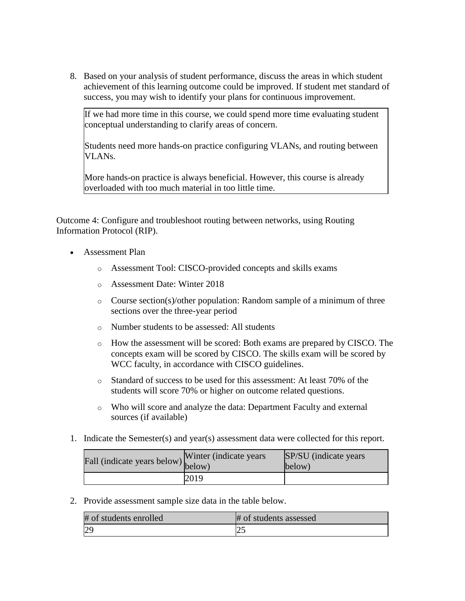8. Based on your analysis of student performance, discuss the areas in which student achievement of this learning outcome could be improved. If student met standard of success, you may wish to identify your plans for continuous improvement.

If we had more time in this course, we could spend more time evaluating student conceptual understanding to clarify areas of concern.

Students need more hands-on practice configuring VLANs, and routing between VLANs.

More hands-on practice is always beneficial. However, this course is already overloaded with too much material in too little time.

Outcome 4: Configure and troubleshoot routing between networks, using Routing Information Protocol (RIP).

- Assessment Plan
	- o Assessment Tool: CISCO-provided concepts and skills exams
	- o Assessment Date: Winter 2018
	- $\circ$  Course section(s)/other population: Random sample of a minimum of three sections over the three-year period
	- o Number students to be assessed: All students
	- o How the assessment will be scored: Both exams are prepared by CISCO. The concepts exam will be scored by CISCO. The skills exam will be scored by WCC faculty, in accordance with CISCO guidelines.
	- o Standard of success to be used for this assessment: At least 70% of the students will score 70% or higher on outcome related questions.
	- o Who will score and analyze the data: Department Faculty and external sources (if available)
- 1. Indicate the Semester(s) and year(s) assessment data were collected for this report.

| rall (indicate years below) below) | Winter (indicate years) | SP/SU (indicate years)<br>below) |
|------------------------------------|-------------------------|----------------------------------|
|                                    | 2019                    |                                  |

| # of students enrolled | # of students assessed |
|------------------------|------------------------|
| $\sim$                 |                        |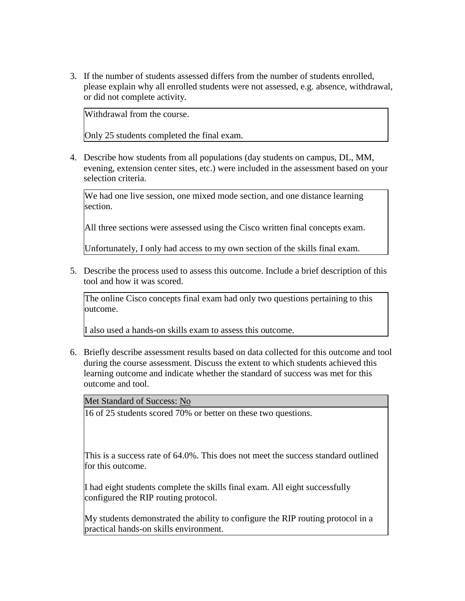Withdrawal from the course.

Only 25 students completed the final exam.

4. Describe how students from all populations (day students on campus, DL, MM, evening, extension center sites, etc.) were included in the assessment based on your selection criteria.

We had one live session, one mixed mode section, and one distance learning section.

All three sections were assessed using the Cisco written final concepts exam.

Unfortunately, I only had access to my own section of the skills final exam.

5. Describe the process used to assess this outcome. Include a brief description of this tool and how it was scored.

The online Cisco concepts final exam had only two questions pertaining to this outcome.

I also used a hands-on skills exam to assess this outcome.

6. Briefly describe assessment results based on data collected for this outcome and tool during the course assessment. Discuss the extent to which students achieved this learning outcome and indicate whether the standard of success was met for this outcome and tool.

Met Standard of Success: No

16 of 25 students scored 70% or better on these two questions.

This is a success rate of 64.0%. This does not meet the success standard outlined for this outcome.

I had eight students complete the skills final exam. All eight successfully configured the RIP routing protocol.

My students demonstrated the ability to configure the RIP routing protocol in a practical hands-on skills environment.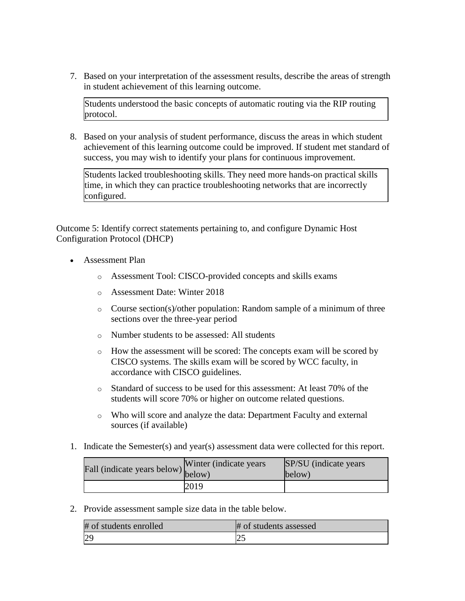7. Based on your interpretation of the assessment results, describe the areas of strength in student achievement of this learning outcome.

Students understood the basic concepts of automatic routing via the RIP routing protocol.

8. Based on your analysis of student performance, discuss the areas in which student achievement of this learning outcome could be improved. If student met standard of success, you may wish to identify your plans for continuous improvement.

Students lacked troubleshooting skills. They need more hands-on practical skills time, in which they can practice troubleshooting networks that are incorrectly configured.

Outcome 5: Identify correct statements pertaining to, and configure Dynamic Host Configuration Protocol (DHCP)

- Assessment Plan
	- o Assessment Tool: CISCO-provided concepts and skills exams
	- o Assessment Date: Winter 2018
	- $\circ$  Course section(s)/other population: Random sample of a minimum of three sections over the three-year period
	- o Number students to be assessed: All students
	- o How the assessment will be scored: The concepts exam will be scored by CISCO systems. The skills exam will be scored by WCC faculty, in accordance with CISCO guidelines.
	- o Standard of success to be used for this assessment: At least 70% of the students will score 70% or higher on outcome related questions.
	- o Who will score and analyze the data: Department Faculty and external sources (if available)
- 1. Indicate the Semester(s) and year(s) assessment data were collected for this report.

| rall (indicate years below) below) | Winter (indicate years) | SP/SU (indicate years)<br>below) |
|------------------------------------|-------------------------|----------------------------------|
|                                    | 2019                    |                                  |

| # of students enrolled | # of students assessed |
|------------------------|------------------------|
| <b>29</b>              | ے ک                    |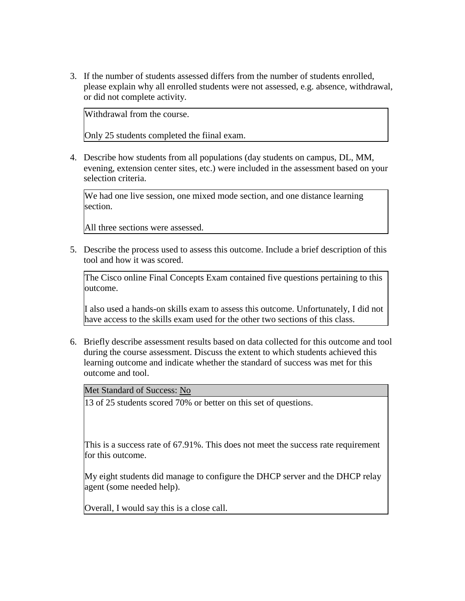Withdrawal from the course.

Only 25 students completed the fiinal exam.

4. Describe how students from all populations (day students on campus, DL, MM, evening, extension center sites, etc.) were included in the assessment based on your selection criteria.

We had one live session, one mixed mode section, and one distance learning section.

All three sections were assessed.

5. Describe the process used to assess this outcome. Include a brief description of this tool and how it was scored.

The Cisco online Final Concepts Exam contained five questions pertaining to this outcome.

I also used a hands-on skills exam to assess this outcome. Unfortunately, I did not have access to the skills exam used for the other two sections of this class.

6. Briefly describe assessment results based on data collected for this outcome and tool during the course assessment. Discuss the extent to which students achieved this learning outcome and indicate whether the standard of success was met for this outcome and tool.

Met Standard of Success: No

13 of 25 students scored 70% or better on this set of questions.

This is a success rate of 67.91%. This does not meet the success rate requirement for this outcome.

My eight students did manage to configure the DHCP server and the DHCP relay agent (some needed help).

Overall, I would say this is a close call.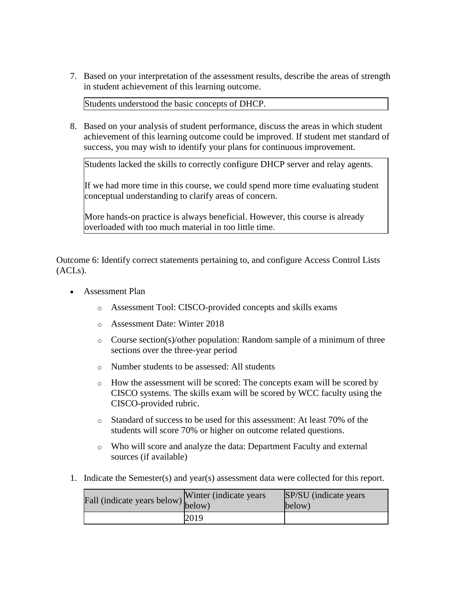7. Based on your interpretation of the assessment results, describe the areas of strength in student achievement of this learning outcome.

Students understood the basic concepts of DHCP.

8. Based on your analysis of student performance, discuss the areas in which student achievement of this learning outcome could be improved. If student met standard of success, you may wish to identify your plans for continuous improvement.

Students lacked the skills to correctly configure DHCP server and relay agents.

If we had more time in this course, we could spend more time evaluating student conceptual understanding to clarify areas of concern.

More hands-on practice is always beneficial. However, this course is already overloaded with too much material in too little time.

Outcome 6: Identify correct statements pertaining to, and configure Access Control Lists (ACLs).

- Assessment Plan
	- o Assessment Tool: CISCO-provided concepts and skills exams
	- o Assessment Date: Winter 2018
	- $\circ$  Course section(s)/other population: Random sample of a minimum of three sections over the three-year period
	- o Number students to be assessed: All students
	- o How the assessment will be scored: The concepts exam will be scored by CISCO systems. The skills exam will be scored by WCC faculty using the CISCO-provided rubric.
	- o Standard of success to be used for this assessment: At least 70% of the students will score 70% or higher on outcome related questions.
	- o Who will score and analyze the data: Department Faculty and external sources (if available)
- 1. Indicate the Semester(s) and year(s) assessment data were collected for this report.

| rall (indicate years below) below) | Winter (indicate years) | SP/SU (indicate years)<br>below) |
|------------------------------------|-------------------------|----------------------------------|
|                                    | 2019                    |                                  |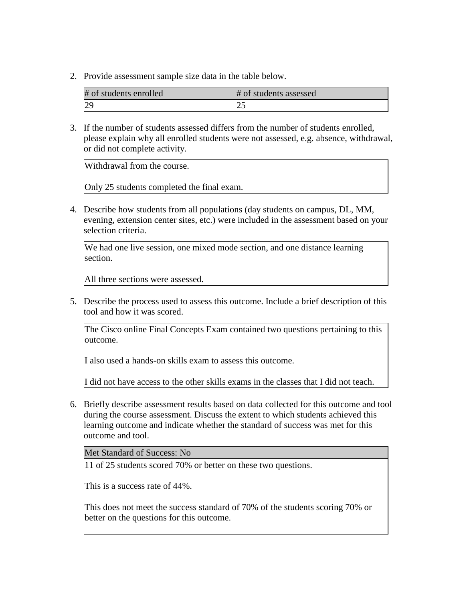2. Provide assessment sample size data in the table below.

| # of students enrolled | # of students assessed |
|------------------------|------------------------|
|                        |                        |

3. If the number of students assessed differs from the number of students enrolled, please explain why all enrolled students were not assessed, e.g. absence, withdrawal, or did not complete activity.

Withdrawal from the course.

Only 25 students completed the final exam.

4. Describe how students from all populations (day students on campus, DL, MM, evening, extension center sites, etc.) were included in the assessment based on your selection criteria.

We had one live session, one mixed mode section, and one distance learning section.

All three sections were assessed.

5. Describe the process used to assess this outcome. Include a brief description of this tool and how it was scored.

The Cisco online Final Concepts Exam contained two questions pertaining to this outcome.

I also used a hands-on skills exam to assess this outcome.

I did not have access to the other skills exams in the classes that I did not teach.

6. Briefly describe assessment results based on data collected for this outcome and tool during the course assessment. Discuss the extent to which students achieved this learning outcome and indicate whether the standard of success was met for this outcome and tool.

Met Standard of Success: No

11 of 25 students scored 70% or better on these two questions.

This is a success rate of 44%.

This does not meet the success standard of 70% of the students scoring 70% or better on the questions for this outcome.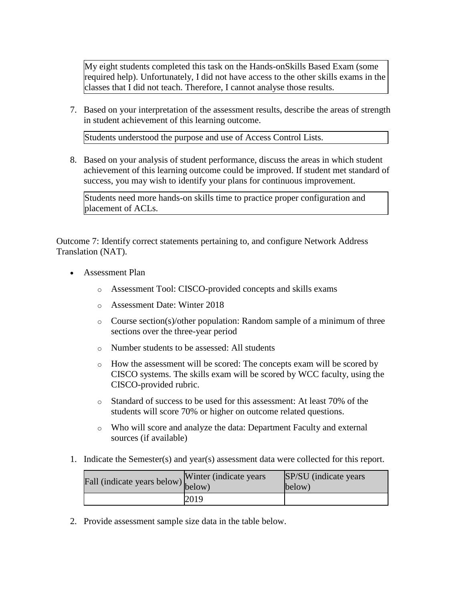My eight students completed this task on the Hands-onSkills Based Exam (some required help). Unfortunately, I did not have access to the other skills exams in the classes that I did not teach. Therefore, I cannot analyse those results.

7. Based on your interpretation of the assessment results, describe the areas of strength in student achievement of this learning outcome.

Students understood the purpose and use of Access Control Lists.

8. Based on your analysis of student performance, discuss the areas in which student achievement of this learning outcome could be improved. If student met standard of success, you may wish to identify your plans for continuous improvement.

Students need more hands-on skills time to practice proper configuration and placement of ACLs.

Outcome 7: Identify correct statements pertaining to, and configure Network Address Translation (NAT).

- Assessment Plan
	- o Assessment Tool: CISCO-provided concepts and skills exams
	- o Assessment Date: Winter 2018
	- $\circ$  Course section(s)/other population: Random sample of a minimum of three sections over the three-year period
	- o Number students to be assessed: All students
	- o How the assessment will be scored: The concepts exam will be scored by CISCO systems. The skills exam will be scored by WCC faculty, using the CISCO-provided rubric.
	- o Standard of success to be used for this assessment: At least 70% of the students will score 70% or higher on outcome related questions.
	- o Who will score and analyze the data: Department Faculty and external sources (if available)
- 1. Indicate the Semester(s) and year(s) assessment data were collected for this report.

| Fall (indicate years below) $\begin{bmatrix} w \text{ inter} \\ below \end{bmatrix}$ | Winter (indicate years) | SP/SU (indicate years)<br>below) |
|--------------------------------------------------------------------------------------|-------------------------|----------------------------------|
|                                                                                      | 2019                    |                                  |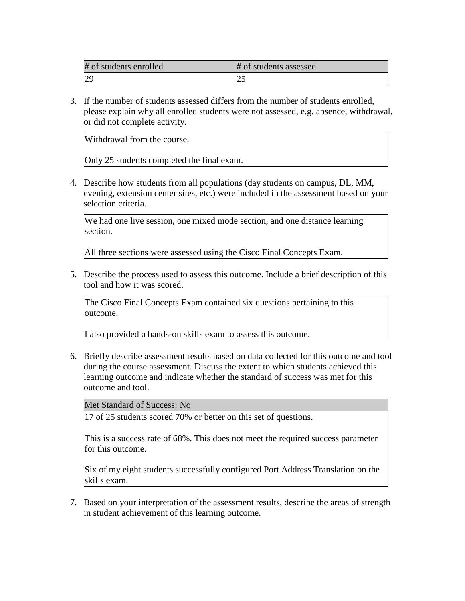| # of students enrolled | # of students assessed |
|------------------------|------------------------|
|                        | ب                      |

Withdrawal from the course.

Only 25 students completed the final exam.

4. Describe how students from all populations (day students on campus, DL, MM, evening, extension center sites, etc.) were included in the assessment based on your selection criteria.

We had one live session, one mixed mode section, and one distance learning section.

All three sections were assessed using the Cisco Final Concepts Exam.

5. Describe the process used to assess this outcome. Include a brief description of this tool and how it was scored.

The Cisco Final Concepts Exam contained six questions pertaining to this outcome.

I also provided a hands-on skills exam to assess this outcome.

6. Briefly describe assessment results based on data collected for this outcome and tool during the course assessment. Discuss the extent to which students achieved this learning outcome and indicate whether the standard of success was met for this outcome and tool.

Met Standard of Success: No

17 of 25 students scored 70% or better on this set of questions.

This is a success rate of 68%. This does not meet the required success parameter for this outcome.

Six of my eight students successfully configured Port Address Translation on the skills exam.

7. Based on your interpretation of the assessment results, describe the areas of strength in student achievement of this learning outcome.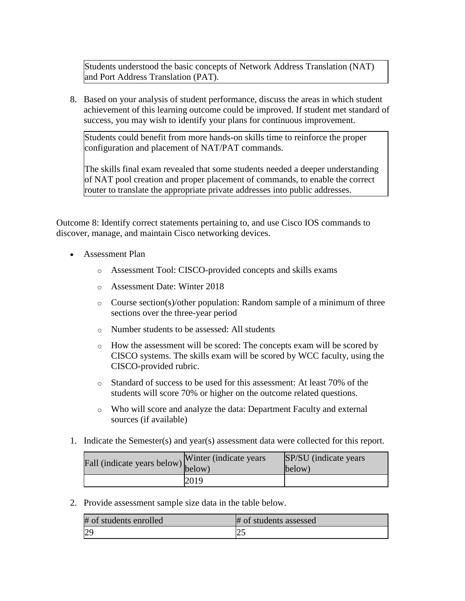Students understood the basic concepts of Network Address Translation (NAT) and Port Address Translation (PAT).

8. Based on your analysis of student performance, discuss the areas in which student achievement of this learning outcome could be improved. If student met standard of success, you may wish to identify your plans for continuous improvement.

Students could benefit from more hands-on skills time to reinforce the proper configuration and placement of NAT/PAT commands.

The skills final exam revealed that some students needed a deeper understanding of NAT pool creation and proper placement of commands, to enable the correct router to translate the appropriate private addresses into public addresses.

Outcome 8: Identify correct statements pertaining to, and use Cisco IOS commands to discover, manage, and maintain Cisco networking devices.

- Assessment Plan
	- o Assessment Tool: CISCO-provided concepts and skills exams
	- o Assessment Date: Winter 2018
	- $\circ$  Course section(s)/other population: Random sample of a minimum of three sections over the three-year period
	- o Number students to be assessed: All students
	- o How the assessment will be scored: The concepts exam will be scored by CISCO systems. The skills exam will be scored by WCC faculty, using the CISCO-provided rubric.
	- o Standard of success to be used for this assessment: At least 70% of the students will score 70% or higher on the outcome related questions.
	- o Who will score and analyze the data: Department Faculty and external sources (if available)
- 1. Indicate the Semester(s) and year(s) assessment data were collected for this report.

| r'all (indicate years below) below) | Winter (indicate years) | SP/SU (indicate years)<br>below) |
|-------------------------------------|-------------------------|----------------------------------|
|                                     | 2019                    |                                  |

| # of students enrolled | # of students assessed |
|------------------------|------------------------|
|                        |                        |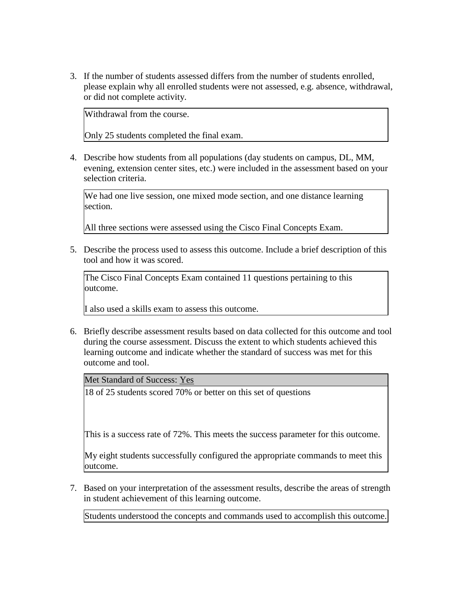Withdrawal from the course.

Only 25 students completed the final exam.

4. Describe how students from all populations (day students on campus, DL, MM, evening, extension center sites, etc.) were included in the assessment based on your selection criteria.

We had one live session, one mixed mode section, and one distance learning section.

All three sections were assessed using the Cisco Final Concepts Exam.

5. Describe the process used to assess this outcome. Include a brief description of this tool and how it was scored.

The Cisco Final Concepts Exam contained 11 questions pertaining to this outcome.

I also used a skills exam to assess this outcome.

6. Briefly describe assessment results based on data collected for this outcome and tool during the course assessment. Discuss the extent to which students achieved this learning outcome and indicate whether the standard of success was met for this outcome and tool.

# Met Standard of Success: Yes

18 of 25 students scored 70% or better on this set of questions

This is a success rate of 72%. This meets the success parameter for this outcome.

My eight students successfully configured the appropriate commands to meet this outcome.

7. Based on your interpretation of the assessment results, describe the areas of strength in student achievement of this learning outcome.

Students understood the concepts and commands used to accomplish this outcome.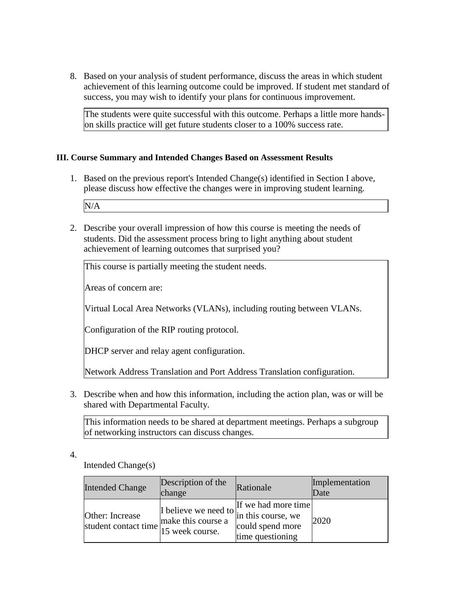8. Based on your analysis of student performance, discuss the areas in which student achievement of this learning outcome could be improved. If student met standard of success, you may wish to identify your plans for continuous improvement.

The students were quite successful with this outcome. Perhaps a little more handson skills practice will get future students closer to a 100% success rate.

# **III. Course Summary and Intended Changes Based on Assessment Results**

1. Based on the previous report's Intended Change(s) identified in Section I above, please discuss how effective the changes were in improving student learning.

N/A

2. Describe your overall impression of how this course is meeting the needs of students. Did the assessment process bring to light anything about student achievement of learning outcomes that surprised you?

This course is partially meeting the student needs.

Areas of concern are:

Virtual Local Area Networks (VLANs), including routing between VLANs.

Configuration of the RIP routing protocol.

DHCP server and relay agent configuration.

Network Address Translation and Port Address Translation configuration.

3. Describe when and how this information, including the action plan, was or will be shared with Departmental Faculty.

This information needs to be shared at department meetings. Perhaps a subgroup of networking instructors can discuss changes.

4.

Intended Change(s)

| <b>Intended Change</b>                                                                  | Description of the<br>change                                                 | Rationale                                                   | Implementation<br>Date |
|-----------------------------------------------------------------------------------------|------------------------------------------------------------------------------|-------------------------------------------------------------|------------------------|
| Other: Increase<br>student contact time $\begin{bmatrix} 15 \end{bmatrix}$ week course. | If believe we need to $\lim_{h \to 0}$ this course, we<br>make this course a | If we had more time<br>could spend more<br>time questioning | 2020                   |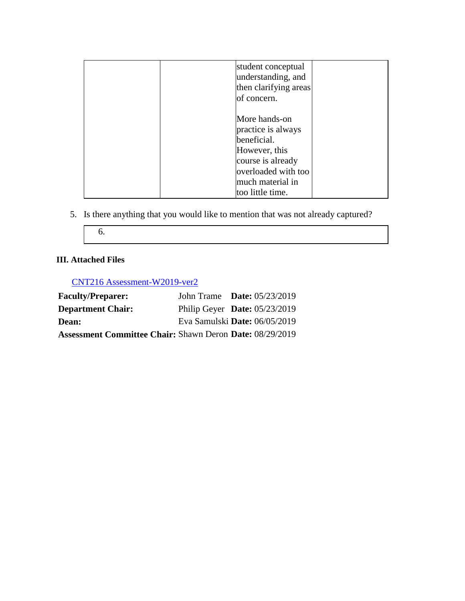| student conceptual<br>understanding, and<br>then clarifying areas<br>of concern.                                                                        |  |
|---------------------------------------------------------------------------------------------------------------------------------------------------------|--|
| More hands-on<br>practice is always<br>beneficial.<br>However, this<br>course is already<br>overloaded with too<br>much material in<br>too little time. |  |

- 5. Is there anything that you would like to mention that was not already captured?
	- 6.

# **III. Attached Files**

[CNT216 Assessment-W2019-ver2](file:///C:/Users/sabird/Downloads/documents/CNT216%20Assessment-W20191.xlsx)

| <b>Faculty/Preparer:</b>                                        | John Trame Date: $05/23/2019$        |  |
|-----------------------------------------------------------------|--------------------------------------|--|
| <b>Department Chair:</b>                                        | Philip Geyer Date: 05/23/2019        |  |
| <b>Dean:</b>                                                    | Eva Samulski <b>Date:</b> 06/05/2019 |  |
| <b>Assessment Committee Chair: Shawn Deron Date: 08/29/2019</b> |                                      |  |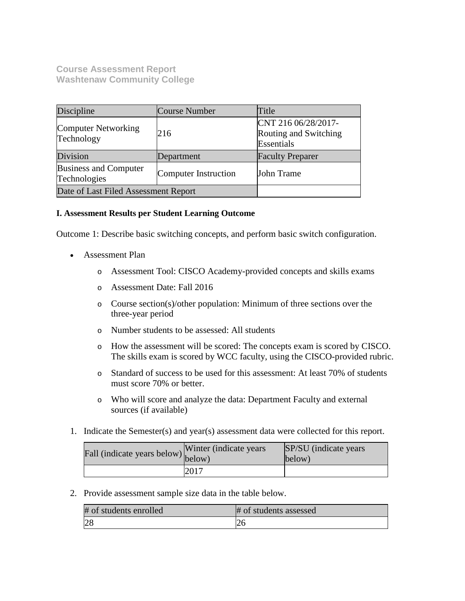**Course Assessment Report Washtenaw Community College**

| Discipline                                   | Course Number        | Title                                                             |
|----------------------------------------------|----------------------|-------------------------------------------------------------------|
| Computer Networking<br>Technology            | 216                  | CNT 216 06/28/2017-<br>Routing and Switching<br><b>Essentials</b> |
| Division                                     | Department           | <b>Faculty Preparer</b>                                           |
| <b>Business and Computer</b><br>Technologies | Computer Instruction | John Trame                                                        |
| Date of Last Filed Assessment Report         |                      |                                                                   |

## **I. Assessment Results per Student Learning Outcome**

Outcome 1: Describe basic switching concepts, and perform basic switch configuration.

- Assessment Plan
	- o Assessment Tool: CISCO Academy-provided concepts and skills exams
	- o Assessment Date: Fall 2016
	- o Course section(s)/other population: Minimum of three sections over the three-year period
	- o Number students to be assessed: All students
	- o How the assessment will be scored: The concepts exam is scored by CISCO. The skills exam is scored by WCC faculty, using the CISCO-provided rubric.
	- o Standard of success to be used for this assessment: At least 70% of students must score 70% or better.
	- o Who will score and analyze the data: Department Faculty and external sources (if available)
- 1. Indicate the Semester(s) and year(s) assessment data were collected for this report.

| Fall (indicate years below) below) | Winter (indicate years) | SP/SU (indicate years)<br>below) |
|------------------------------------|-------------------------|----------------------------------|
|                                    | 2017                    |                                  |

| # of students enrolled | # of students assessed |
|------------------------|------------------------|
| $\cap$                 |                        |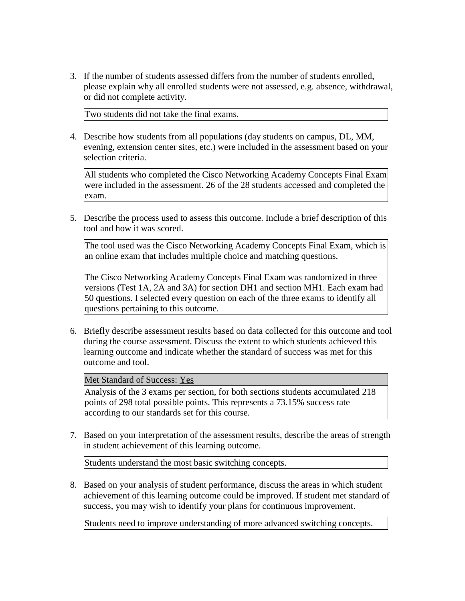Two students did not take the final exams.

4. Describe how students from all populations (day students on campus, DL, MM, evening, extension center sites, etc.) were included in the assessment based on your selection criteria.

All students who completed the Cisco Networking Academy Concepts Final Exam were included in the assessment. 26 of the 28 students accessed and completed the exam.

5. Describe the process used to assess this outcome. Include a brief description of this tool and how it was scored.

The tool used was the Cisco Networking Academy Concepts Final Exam, which is an online exam that includes multiple choice and matching questions.

The Cisco Networking Academy Concepts Final Exam was randomized in three versions (Test 1A, 2A and 3A) for section DH1 and section MH1. Each exam had 50 questions. I selected every question on each of the three exams to identify all questions pertaining to this outcome.

6. Briefly describe assessment results based on data collected for this outcome and tool during the course assessment. Discuss the extent to which students achieved this learning outcome and indicate whether the standard of success was met for this outcome and tool.

Met Standard of Success: Yes

Analysis of the 3 exams per section, for both sections students accumulated 218 points of 298 total possible points. This represents a 73.15% success rate according to our standards set for this course.

7. Based on your interpretation of the assessment results, describe the areas of strength in student achievement of this learning outcome.

Students understand the most basic switching concepts.

8. Based on your analysis of student performance, discuss the areas in which student achievement of this learning outcome could be improved. If student met standard of success, you may wish to identify your plans for continuous improvement.

Students need to improve understanding of more advanced switching concepts.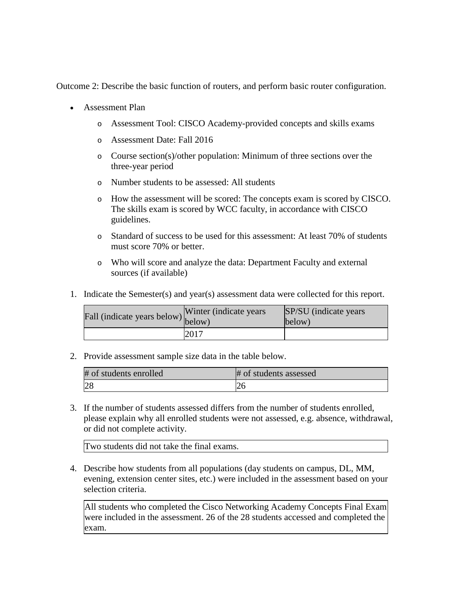Outcome 2: Describe the basic function of routers, and perform basic router configuration.

- Assessment Plan
	- o Assessment Tool: CISCO Academy-provided concepts and skills exams
	- o Assessment Date: Fall 2016
	- $\circ$  Course section(s)/other population: Minimum of three sections over the three-year period
	- o Number students to be assessed: All students
	- o How the assessment will be scored: The concepts exam is scored by CISCO. The skills exam is scored by WCC faculty, in accordance with CISCO guidelines.
	- o Standard of success to be used for this assessment: At least 70% of students must score 70% or better.
	- o Who will score and analyze the data: Department Faculty and external sources (if available)
- 1. Indicate the Semester(s) and year(s) assessment data were collected for this report.

| Fall (indicate years below) below) | Winter (indicate years) | SP/SU (indicate years)<br>below) |
|------------------------------------|-------------------------|----------------------------------|
|                                    | 2017                    |                                  |

2. Provide assessment sample size data in the table below.

| # of students enrolled | # of students assessed |
|------------------------|------------------------|
| $\cap$                 |                        |

3. If the number of students assessed differs from the number of students enrolled, please explain why all enrolled students were not assessed, e.g. absence, withdrawal, or did not complete activity.

Two students did not take the final exams.

4. Describe how students from all populations (day students on campus, DL, MM, evening, extension center sites, etc.) were included in the assessment based on your selection criteria.

All students who completed the Cisco Networking Academy Concepts Final Exam were included in the assessment. 26 of the 28 students accessed and completed the exam.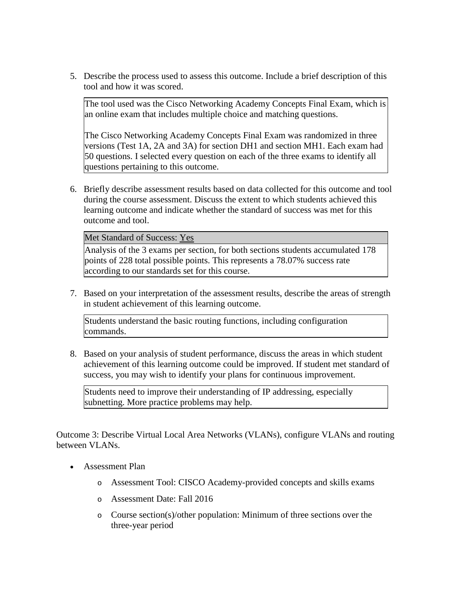5. Describe the process used to assess this outcome. Include a brief description of this tool and how it was scored.

The tool used was the Cisco Networking Academy Concepts Final Exam, which is an online exam that includes multiple choice and matching questions.

The Cisco Networking Academy Concepts Final Exam was randomized in three versions (Test 1A, 2A and 3A) for section DH1 and section MH1. Each exam had 50 questions. I selected every question on each of the three exams to identify all questions pertaining to this outcome.

6. Briefly describe assessment results based on data collected for this outcome and tool during the course assessment. Discuss the extent to which students achieved this learning outcome and indicate whether the standard of success was met for this outcome and tool.

Met Standard of Success: Yes

Analysis of the 3 exams per section, for both sections students accumulated 178 points of 228 total possible points. This represents a 78.07% success rate according to our standards set for this course.

7. Based on your interpretation of the assessment results, describe the areas of strength in student achievement of this learning outcome.

Students understand the basic routing functions, including configuration commands.

8. Based on your analysis of student performance, discuss the areas in which student achievement of this learning outcome could be improved. If student met standard of success, you may wish to identify your plans for continuous improvement.

Students need to improve their understanding of IP addressing, especially subnetting. More practice problems may help.

Outcome 3: Describe Virtual Local Area Networks (VLANs), configure VLANs and routing between VLANs.

- Assessment Plan
	- o Assessment Tool: CISCO Academy-provided concepts and skills exams
	- o Assessment Date: Fall 2016
	- $\circ$  Course section(s)/other population: Minimum of three sections over the three-year period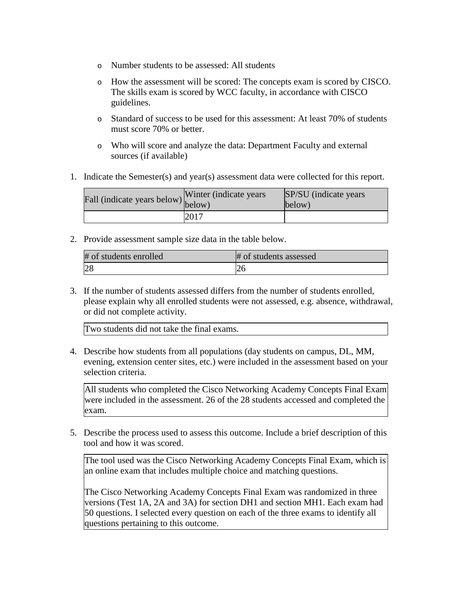- o Number students to be assessed: All students
- o How the assessment will be scored: The concepts exam is scored by CISCO. The skills exam is scored by WCC faculty, in accordance with CISCO guidelines.
- o Standard of success to be used for this assessment: At least 70% of students must score 70% or better.
- o Who will score and analyze the data: Department Faculty and external sources (if available)
- 1. Indicate the Semester(s) and year(s) assessment data were collected for this report.

| rall (indicate years below) below) | Winter (indicate years) | <b>SP/SU</b> (indicate years)<br>below) |
|------------------------------------|-------------------------|-----------------------------------------|
|                                    | 2017                    |                                         |

2. Provide assessment sample size data in the table below.

| # of students enrolled | # of students assessed |
|------------------------|------------------------|
| 28                     |                        |

3. If the number of students assessed differs from the number of students enrolled, please explain why all enrolled students were not assessed, e.g. absence, withdrawal, or did not complete activity.

Two students did not take the final exams.

4. Describe how students from all populations (day students on campus, DL, MM, evening, extension center sites, etc.) were included in the assessment based on your selection criteria.

All students who completed the Cisco Networking Academy Concepts Final Exam were included in the assessment. 26 of the 28 students accessed and completed the exam.

5. Describe the process used to assess this outcome. Include a brief description of this tool and how it was scored.

The tool used was the Cisco Networking Academy Concepts Final Exam, which is an online exam that includes multiple choice and matching questions.

The Cisco Networking Academy Concepts Final Exam was randomized in three versions (Test 1A, 2A and 3A) for section DH1 and section MH1. Each exam had 50 questions. I selected every question on each of the three exams to identify all questions pertaining to this outcome.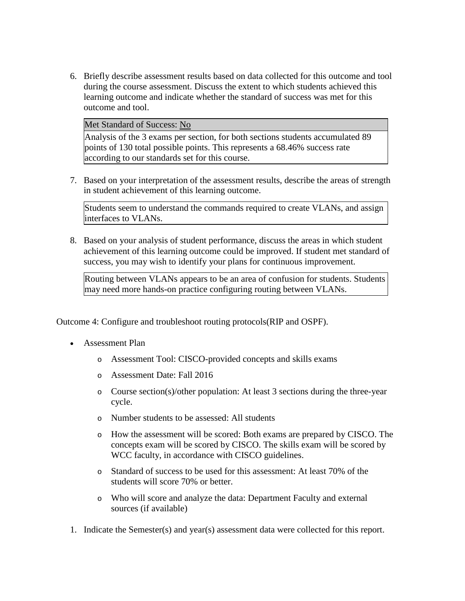6. Briefly describe assessment results based on data collected for this outcome and tool during the course assessment. Discuss the extent to which students achieved this learning outcome and indicate whether the standard of success was met for this outcome and tool.

Met Standard of Success: No

Analysis of the 3 exams per section, for both sections students accumulated 89 points of 130 total possible points. This represents a 68.46% success rate according to our standards set for this course.

7. Based on your interpretation of the assessment results, describe the areas of strength in student achievement of this learning outcome.

Students seem to understand the commands required to create VLANs, and assign interfaces to VLANs.

8. Based on your analysis of student performance, discuss the areas in which student achievement of this learning outcome could be improved. If student met standard of success, you may wish to identify your plans for continuous improvement.

Routing between VLANs appears to be an area of confusion for students. Students may need more hands-on practice configuring routing between VLANs.

Outcome 4: Configure and troubleshoot routing protocols(RIP and OSPF).

- Assessment Plan
	- o Assessment Tool: CISCO-provided concepts and skills exams
	- o Assessment Date: Fall 2016
	- o Course section(s)/other population: At least 3 sections during the three-year cycle.
	- o Number students to be assessed: All students
	- o How the assessment will be scored: Both exams are prepared by CISCO. The concepts exam will be scored by CISCO. The skills exam will be scored by WCC faculty, in accordance with CISCO guidelines.
	- o Standard of success to be used for this assessment: At least 70% of the students will score 70% or better.
	- o Who will score and analyze the data: Department Faculty and external sources (if available)
- 1. Indicate the Semester(s) and year(s) assessment data were collected for this report.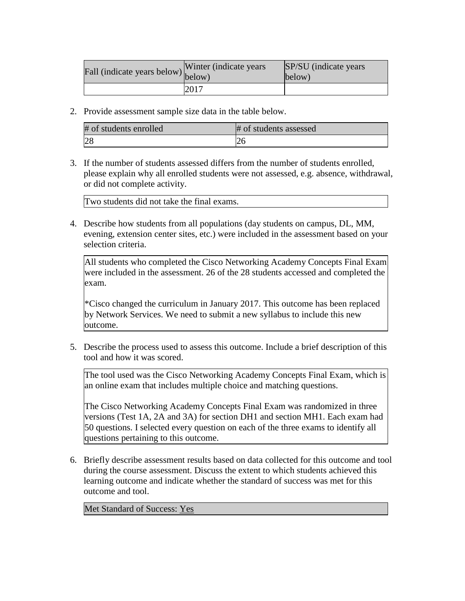| Fall (indicate years below) below) | Winter (indicate years) | SP/SU (indicate years)<br>below) |
|------------------------------------|-------------------------|----------------------------------|
|                                    | 2017                    |                                  |

2. Provide assessment sample size data in the table below.

| # of students enrolled | # of students assessed |
|------------------------|------------------------|
| 28                     | ZU                     |

3. If the number of students assessed differs from the number of students enrolled, please explain why all enrolled students were not assessed, e.g. absence, withdrawal, or did not complete activity.

Two students did not take the final exams.

4. Describe how students from all populations (day students on campus, DL, MM, evening, extension center sites, etc.) were included in the assessment based on your selection criteria.

All students who completed the Cisco Networking Academy Concepts Final Exam were included in the assessment. 26 of the 28 students accessed and completed the exam.

\*Cisco changed the curriculum in January 2017. This outcome has been replaced by Network Services. We need to submit a new syllabus to include this new outcome.

5. Describe the process used to assess this outcome. Include a brief description of this tool and how it was scored.

The tool used was the Cisco Networking Academy Concepts Final Exam, which is an online exam that includes multiple choice and matching questions.

The Cisco Networking Academy Concepts Final Exam was randomized in three versions (Test 1A, 2A and 3A) for section DH1 and section MH1. Each exam had 50 questions. I selected every question on each of the three exams to identify all questions pertaining to this outcome.

6. Briefly describe assessment results based on data collected for this outcome and tool during the course assessment. Discuss the extent to which students achieved this learning outcome and indicate whether the standard of success was met for this outcome and tool.

Met Standard of Success: Yes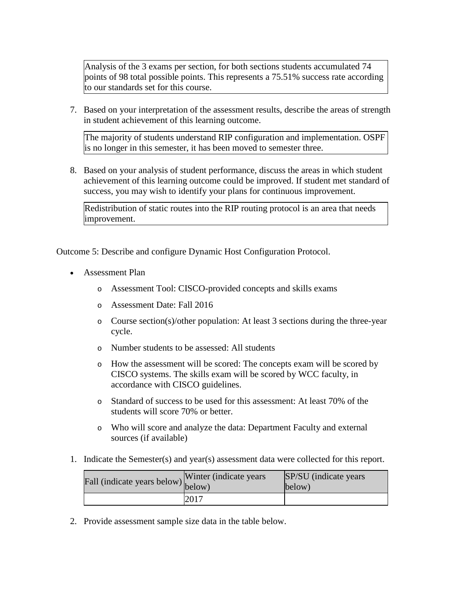Analysis of the 3 exams per section, for both sections students accumulated 74 points of 98 total possible points. This represents a 75.51% success rate according to our standards set for this course.

7. Based on your interpretation of the assessment results, describe the areas of strength in student achievement of this learning outcome.

The majority of students understand RIP configuration and implementation. OSPF is no longer in this semester, it has been moved to semester three.

8. Based on your analysis of student performance, discuss the areas in which student achievement of this learning outcome could be improved. If student met standard of success, you may wish to identify your plans for continuous improvement.

Redistribution of static routes into the RIP routing protocol is an area that needs improvement.

Outcome 5: Describe and configure Dynamic Host Configuration Protocol.

- Assessment Plan
	- o Assessment Tool: CISCO-provided concepts and skills exams
	- o Assessment Date: Fall 2016
	- o Course section(s)/other population: At least 3 sections during the three-year cycle.
	- o Number students to be assessed: All students
	- o How the assessment will be scored: The concepts exam will be scored by CISCO systems. The skills exam will be scored by WCC faculty, in accordance with CISCO guidelines.
	- o Standard of success to be used for this assessment: At least 70% of the students will score 70% or better.
	- o Who will score and analyze the data: Department Faculty and external sources (if available)
- 1. Indicate the Semester(s) and year(s) assessment data were collected for this report.

| rall (indicate years below) below) | Winter (indicate years) | SP/SU (indicate years)<br>below) |
|------------------------------------|-------------------------|----------------------------------|
|                                    | 2017                    |                                  |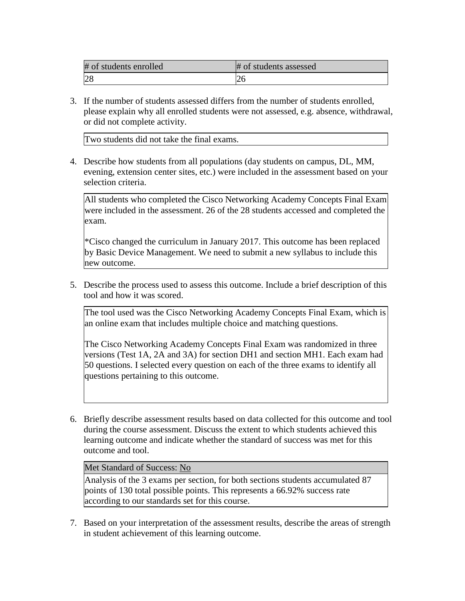| # of students enrolled | # of students assessed |
|------------------------|------------------------|
|                        |                        |

Two students did not take the final exams.

4. Describe how students from all populations (day students on campus, DL, MM, evening, extension center sites, etc.) were included in the assessment based on your selection criteria.

All students who completed the Cisco Networking Academy Concepts Final Exam were included in the assessment. 26 of the 28 students accessed and completed the exam.

\*Cisco changed the curriculum in January 2017. This outcome has been replaced by Basic Device Management. We need to submit a new syllabus to include this new outcome.

5. Describe the process used to assess this outcome. Include a brief description of this tool and how it was scored.

The tool used was the Cisco Networking Academy Concepts Final Exam, which is an online exam that includes multiple choice and matching questions.

The Cisco Networking Academy Concepts Final Exam was randomized in three versions (Test 1A, 2A and 3A) for section DH1 and section MH1. Each exam had 50 questions. I selected every question on each of the three exams to identify all questions pertaining to this outcome.

6. Briefly describe assessment results based on data collected for this outcome and tool during the course assessment. Discuss the extent to which students achieved this learning outcome and indicate whether the standard of success was met for this outcome and tool.

#### Met Standard of Success: No

Analysis of the 3 exams per section, for both sections students accumulated 87 points of 130 total possible points. This represents a 66.92% success rate according to our standards set for this course.

7. Based on your interpretation of the assessment results, describe the areas of strength in student achievement of this learning outcome.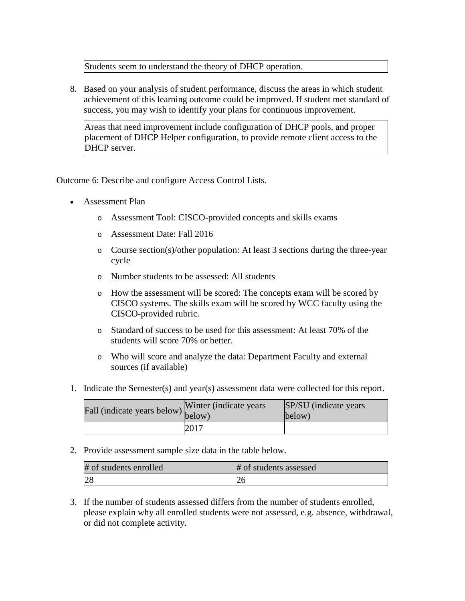## Students seem to understand the theory of DHCP operation.

8. Based on your analysis of student performance, discuss the areas in which student achievement of this learning outcome could be improved. If student met standard of success, you may wish to identify your plans for continuous improvement.

Areas that need improvement include configuration of DHCP pools, and proper placement of DHCP Helper configuration, to provide remote client access to the DHCP server.

Outcome 6: Describe and configure Access Control Lists.

- Assessment Plan
	- o Assessment Tool: CISCO-provided concepts and skills exams
	- o Assessment Date: Fall 2016
	- o Course section(s)/other population: At least 3 sections during the three-year cycle
	- o Number students to be assessed: All students
	- o How the assessment will be scored: The concepts exam will be scored by CISCO systems. The skills exam will be scored by WCC faculty using the CISCO-provided rubric.
	- o Standard of success to be used for this assessment: At least 70% of the students will score 70% or better.
	- o Who will score and analyze the data: Department Faculty and external sources (if available)
- 1. Indicate the Semester(s) and year(s) assessment data were collected for this report.

| Fall (indicate years below) $\begin{bmatrix} 0 \\ below \end{bmatrix}$ | Winter (indicate years) | SP/SU (indicate years)<br>below) |
|------------------------------------------------------------------------|-------------------------|----------------------------------|
|                                                                        | 2017                    |                                  |

2. Provide assessment sample size data in the table below.

| # of students enrolled | # of students assessed |
|------------------------|------------------------|
|                        |                        |

3. If the number of students assessed differs from the number of students enrolled, please explain why all enrolled students were not assessed, e.g. absence, withdrawal, or did not complete activity.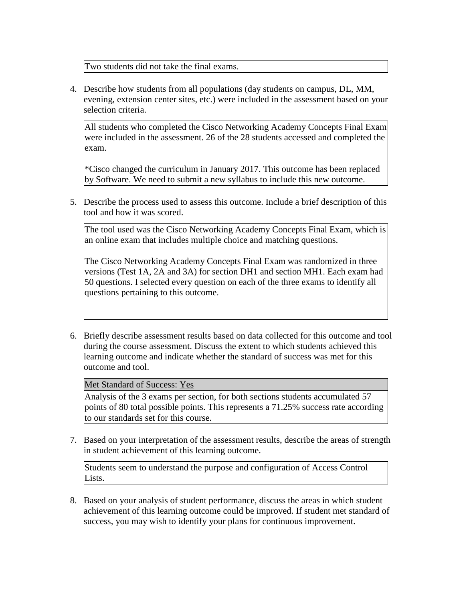Two students did not take the final exams.

4. Describe how students from all populations (day students on campus, DL, MM, evening, extension center sites, etc.) were included in the assessment based on your selection criteria.

All students who completed the Cisco Networking Academy Concepts Final Exam were included in the assessment. 26 of the 28 students accessed and completed the exam.

\*Cisco changed the curriculum in January 2017. This outcome has been replaced by Software. We need to submit a new syllabus to include this new outcome.

5. Describe the process used to assess this outcome. Include a brief description of this tool and how it was scored.

The tool used was the Cisco Networking Academy Concepts Final Exam, which is an online exam that includes multiple choice and matching questions.

The Cisco Networking Academy Concepts Final Exam was randomized in three versions (Test 1A, 2A and 3A) for section DH1 and section MH1. Each exam had 50 questions. I selected every question on each of the three exams to identify all questions pertaining to this outcome.

6. Briefly describe assessment results based on data collected for this outcome and tool during the course assessment. Discuss the extent to which students achieved this learning outcome and indicate whether the standard of success was met for this outcome and tool.

Met Standard of Success: Yes

Analysis of the 3 exams per section, for both sections students accumulated 57 points of 80 total possible points. This represents a 71.25% success rate according to our standards set for this course.

7. Based on your interpretation of the assessment results, describe the areas of strength in student achievement of this learning outcome.

Students seem to understand the purpose and configuration of Access Control Lists.

8. Based on your analysis of student performance, discuss the areas in which student achievement of this learning outcome could be improved. If student met standard of success, you may wish to identify your plans for continuous improvement.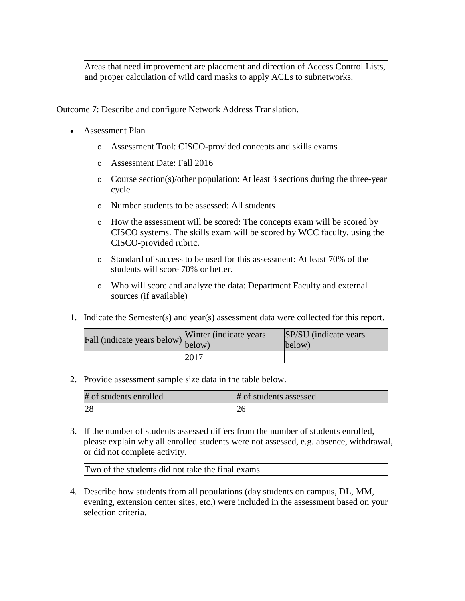Areas that need improvement are placement and direction of Access Control Lists, and proper calculation of wild card masks to apply ACLs to subnetworks.

Outcome 7: Describe and configure Network Address Translation.

- Assessment Plan
	- o Assessment Tool: CISCO-provided concepts and skills exams
	- o Assessment Date: Fall 2016
	- o Course section(s)/other population: At least 3 sections during the three-year cycle
	- o Number students to be assessed: All students
	- o How the assessment will be scored: The concepts exam will be scored by CISCO systems. The skills exam will be scored by WCC faculty, using the CISCO-provided rubric.
	- o Standard of success to be used for this assessment: At least 70% of the students will score 70% or better.
	- o Who will score and analyze the data: Department Faculty and external sources (if available)
- 1. Indicate the Semester(s) and year(s) assessment data were collected for this report.

| r'all (indicate years below) below) | Winter (indicate years) | SP/SU (indicate years)<br>below) |
|-------------------------------------|-------------------------|----------------------------------|
|                                     | 2017                    |                                  |

2. Provide assessment sample size data in the table below.

| # of students enrolled | # of students assessed |
|------------------------|------------------------|
|                        | - 12 C                 |

3. If the number of students assessed differs from the number of students enrolled, please explain why all enrolled students were not assessed, e.g. absence, withdrawal, or did not complete activity.

Two of the students did not take the final exams.

4. Describe how students from all populations (day students on campus, DL, MM, evening, extension center sites, etc.) were included in the assessment based on your selection criteria.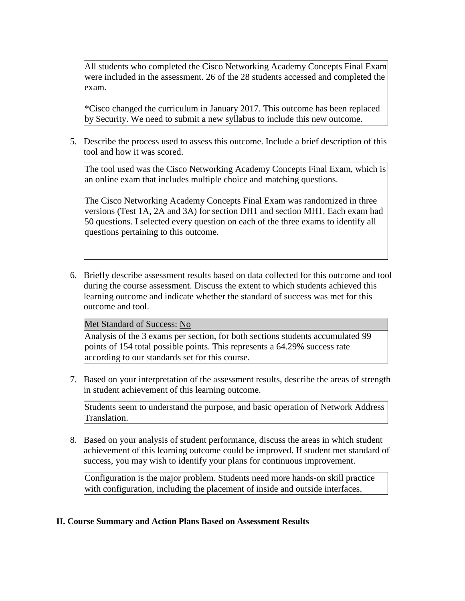All students who completed the Cisco Networking Academy Concepts Final Exam were included in the assessment. 26 of the 28 students accessed and completed the exam.

\*Cisco changed the curriculum in January 2017. This outcome has been replaced by Security. We need to submit a new syllabus to include this new outcome.

5. Describe the process used to assess this outcome. Include a brief description of this tool and how it was scored.

The tool used was the Cisco Networking Academy Concepts Final Exam, which is an online exam that includes multiple choice and matching questions.

The Cisco Networking Academy Concepts Final Exam was randomized in three versions (Test 1A, 2A and 3A) for section DH1 and section MH1. Each exam had 50 questions. I selected every question on each of the three exams to identify all questions pertaining to this outcome.

6. Briefly describe assessment results based on data collected for this outcome and tool during the course assessment. Discuss the extent to which students achieved this learning outcome and indicate whether the standard of success was met for this outcome and tool.

#### Met Standard of Success: No

Analysis of the 3 exams per section, for both sections students accumulated 99 points of 154 total possible points. This represents a 64.29% success rate according to our standards set for this course.

7. Based on your interpretation of the assessment results, describe the areas of strength in student achievement of this learning outcome.

Students seem to understand the purpose, and basic operation of Network Address Translation.

8. Based on your analysis of student performance, discuss the areas in which student achievement of this learning outcome could be improved. If student met standard of success, you may wish to identify your plans for continuous improvement.

Configuration is the major problem. Students need more hands-on skill practice with configuration, including the placement of inside and outside interfaces.

## **II. Course Summary and Action Plans Based on Assessment Results**